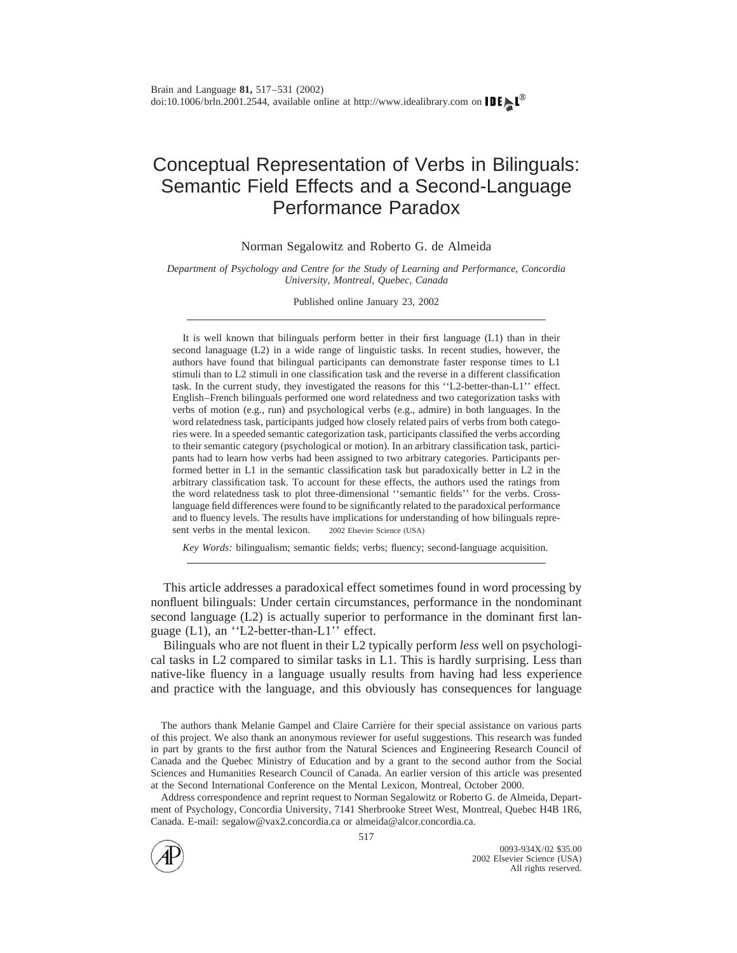# Conceptual Representation of Verbs in Bilinguals: Semantic Field Effects and a Second-Language Performance Paradox

Norman Segalowitz and Roberto G. de Almeida

*Department of Psychology and Centre for the Study of Learning and Performance, Concordia University, Montreal, Quebec, Canada*

Published online January 23, 2002

It is well known that bilinguals perform better in their first language (L1) than in their second lanaguage (L2) in a wide range of linguistic tasks. In recent studies, however, the authors have found that bilingual participants can demonstrate faster response times to L1 stimuli than to L2 stimuli in one classification task and the reverse in a different classification task. In the current study, they investigated the reasons for this ''L2-better-than-L1'' effect. English–French bilinguals performed one word relatedness and two categorization tasks with verbs of motion (e.g., run) and psychological verbs (e.g., admire) in both languages. In the word relatedness task, participants judged how closely related pairs of verbs from both categories were. In a speeded semantic categorization task, participants classified the verbs according to their semantic category (psychological or motion). In an arbitrary classification task, participants had to learn how verbs had been assigned to two arbitrary categories. Participants performed better in L1 in the semantic classification task but paradoxically better in L2 in the arbitrary classification task. To account for these effects, the authors used the ratings from the word relatedness task to plot three-dimensional ''semantic fields'' for the verbs. Crosslanguage field differences were found to be significantly related to the paradoxical performance and to fluency levels. The results have implications for understanding of how bilinguals represent verbs in the mental lexicon.  $\circ$  2002 Elsevier Science (USA)

*Key Words:* bilingualism; semantic fields; verbs; fluency; second-language acquisition.

This article addresses a paradoxical effect sometimes found in word processing by nonfluent bilinguals: Under certain circumstances, performance in the nondominant second language (L2) is actually superior to performance in the dominant first language (L1), an ''L2-better-than-L1'' effect.

Bilinguals who are not fluent in their L2 typically perform *less* well on psychological tasks in L2 compared to similar tasks in L1. This is hardly surprising. Less than native-like fluency in a language usually results from having had less experience and practice with the language, and this obviously has consequences for language

The authors thank Melanie Gampel and Claire Carrière for their special assistance on various parts of this project. We also thank an anonymous reviewer for useful suggestions. This research was funded in part by grants to the first author from the Natural Sciences and Engineering Research Council of Canada and the Quebec Ministry of Education and by a grant to the second author from the Social Sciences and Humanities Research Council of Canada. An earlier version of this article was presented at the Second International Conference on the Mental Lexicon, Montreal, October 2000.

Address correspondence and reprint request to Norman Segalowitz or Roberto G. de Almeida, Department of Psychology, Concordia University, 7141 Sherbrooke Street West, Montreal, Quebec H4B 1R6, Canada. E-mail: segalow@vax2.concordia.ca or almeida@alcor.concordia.ca.

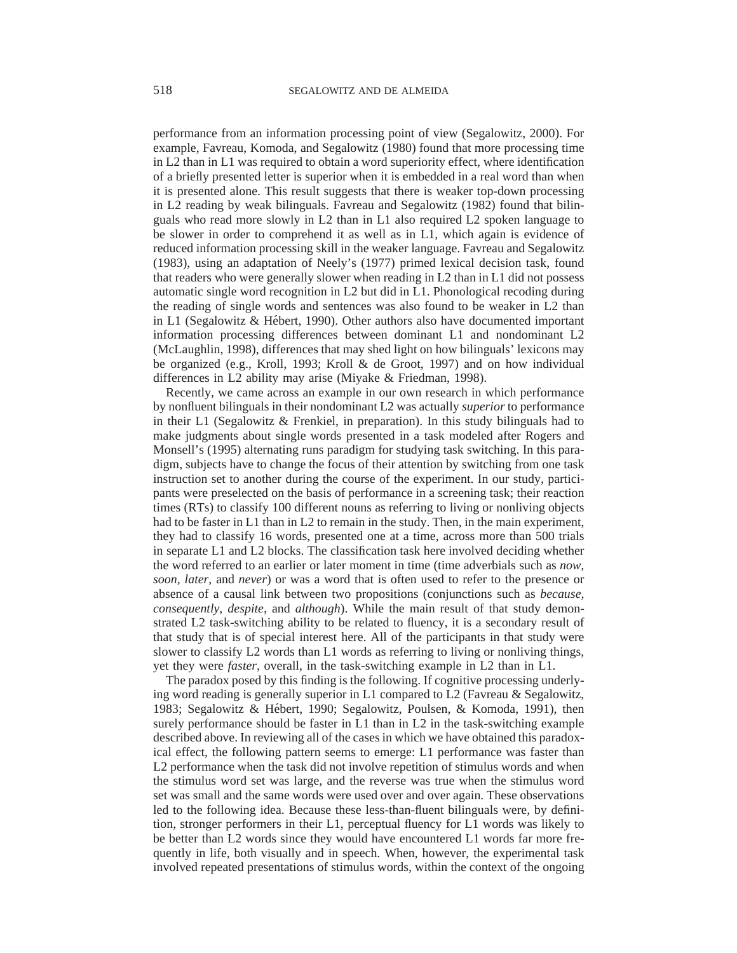performance from an information processing point of view (Segalowitz, 2000). For example, Favreau, Komoda, and Segalowitz (1980) found that more processing time in L2 than in L1 was required to obtain a word superiority effect, where identification of a briefly presented letter is superior when it is embedded in a real word than when it is presented alone. This result suggests that there is weaker top-down processing in L2 reading by weak bilinguals. Favreau and Segalowitz (1982) found that bilinguals who read more slowly in L2 than in L1 also required L2 spoken language to be slower in order to comprehend it as well as in L1, which again is evidence of reduced information processing skill in the weaker language. Favreau and Segalowitz (1983), using an adaptation of Neely's (1977) primed lexical decision task, found that readers who were generally slower when reading in L2 than in L1 did not possess automatic single word recognition in L2 but did in L1. Phonological recoding during the reading of single words and sentences was also found to be weaker in L2 than in L1 (Segalowitz  $\&$  Hébert, 1990). Other authors also have documented important information processing differences between dominant L1 and nondominant L2 (McLaughlin, 1998), differences that may shed light on how bilinguals' lexicons may be organized (e.g., Kroll, 1993; Kroll & de Groot, 1997) and on how individual differences in L2 ability may arise (Miyake & Friedman, 1998).

Recently, we came across an example in our own research in which performance by nonfluent bilinguals in their nondominant L2 was actually *superior* to performance in their L1 (Segalowitz  $\&$  Frenkiel, in preparation). In this study bilinguals had to make judgments about single words presented in a task modeled after Rogers and Monsell's (1995) alternating runs paradigm for studying task switching. In this paradigm, subjects have to change the focus of their attention by switching from one task instruction set to another during the course of the experiment. In our study, participants were preselected on the basis of performance in a screening task; their reaction times (RTs) to classify 100 different nouns as referring to living or nonliving objects had to be faster in L1 than in L2 to remain in the study. Then, in the main experiment, they had to classify 16 words, presented one at a time, across more than 500 trials in separate L1 and L2 blocks. The classification task here involved deciding whether the word referred to an earlier or later moment in time (time adverbials such as *now, soon, later,* and *never*) or was a word that is often used to refer to the presence or absence of a causal link between two propositions (conjunctions such as *because, consequently, despite,* and *although*). While the main result of that study demonstrated L2 task-switching ability to be related to fluency, it is a secondary result of that study that is of special interest here. All of the participants in that study were slower to classify L2 words than L1 words as referring to living or nonliving things, yet they were *faster,* overall, in the task-switching example in L2 than in L1.

The paradox posed by this finding is the following. If cognitive processing underlying word reading is generally superior in L1 compared to L2 (Favreau & Segalowitz, 1983; Segalowitz & Hébert, 1990; Segalowitz, Poulsen, & Komoda, 1991), then surely performance should be faster in L1 than in L2 in the task-switching example described above. In reviewing all of the cases in which we have obtained this paradoxical effect, the following pattern seems to emerge: L1 performance was faster than L2 performance when the task did not involve repetition of stimulus words and when the stimulus word set was large, and the reverse was true when the stimulus word set was small and the same words were used over and over again. These observations led to the following idea. Because these less-than-fluent bilinguals were, by definition, stronger performers in their L1, perceptual fluency for L1 words was likely to be better than L2 words since they would have encountered L1 words far more frequently in life, both visually and in speech. When, however, the experimental task involved repeated presentations of stimulus words, within the context of the ongoing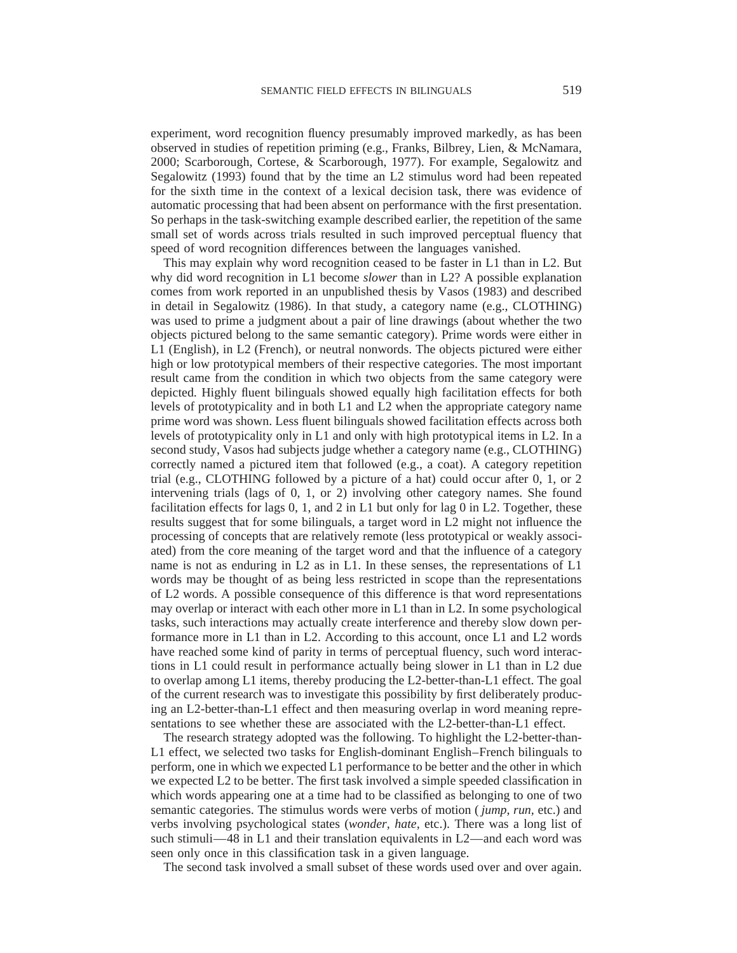experiment, word recognition fluency presumably improved markedly, as has been observed in studies of repetition priming (e.g., Franks, Bilbrey, Lien, & McNamara, 2000; Scarborough, Cortese, & Scarborough, 1977). For example, Segalowitz and Segalowitz (1993) found that by the time an L2 stimulus word had been repeated for the sixth time in the context of a lexical decision task, there was evidence of automatic processing that had been absent on performance with the first presentation. So perhaps in the task-switching example described earlier, the repetition of the same small set of words across trials resulted in such improved perceptual fluency that speed of word recognition differences between the languages vanished.

This may explain why word recognition ceased to be faster in L1 than in L2. But why did word recognition in L1 become *slower* than in L2? A possible explanation comes from work reported in an unpublished thesis by Vasos (1983) and described in detail in Segalowitz (1986). In that study, a category name (e.g., CLOTHING) was used to prime a judgment about a pair of line drawings (about whether the two objects pictured belong to the same semantic category). Prime words were either in L1 (English), in L2 (French), or neutral nonwords. The objects pictured were either high or low prototypical members of their respective categories. The most important result came from the condition in which two objects from the same category were depicted. Highly fluent bilinguals showed equally high facilitation effects for both levels of prototypicality and in both L1 and L2 when the appropriate category name prime word was shown. Less fluent bilinguals showed facilitation effects across both levels of prototypicality only in L1 and only with high prototypical items in L2. In a second study, Vasos had subjects judge whether a category name (e.g., CLOTHING) correctly named a pictured item that followed (e.g., a coat). A category repetition trial (e.g., CLOTHING followed by a picture of a hat) could occur after 0, 1, or 2 intervening trials (lags of 0, 1, or 2) involving other category names. She found facilitation effects for lags 0, 1, and 2 in L1 but only for lag 0 in L2. Together, these results suggest that for some bilinguals, a target word in L2 might not influence the processing of concepts that are relatively remote (less prototypical or weakly associated) from the core meaning of the target word and that the influence of a category name is not as enduring in L2 as in L1. In these senses, the representations of L1 words may be thought of as being less restricted in scope than the representations of L2 words. A possible consequence of this difference is that word representations may overlap or interact with each other more in L1 than in L2. In some psychological tasks, such interactions may actually create interference and thereby slow down performance more in L1 than in L2. According to this account, once L1 and L2 words have reached some kind of parity in terms of perceptual fluency, such word interactions in L1 could result in performance actually being slower in L1 than in L2 due to overlap among L1 items, thereby producing the L2-better-than-L1 effect. The goal of the current research was to investigate this possibility by first deliberately producing an L2-better-than-L1 effect and then measuring overlap in word meaning representations to see whether these are associated with the L2-better-than-L1 effect.

The research strategy adopted was the following. To highlight the L2-better-than-L1 effect, we selected two tasks for English-dominant English–French bilinguals to perform, one in which we expected L1 performance to be better and the other in which we expected L2 to be better. The first task involved a simple speeded classification in which words appearing one at a time had to be classified as belonging to one of two semantic categories. The stimulus words were verbs of motion ( *jump, run,* etc.) and verbs involving psychological states (*wonder, hate,* etc.). There was a long list of such stimuli—48 in L1 and their translation equivalents in L2—and each word was seen only once in this classification task in a given language.

The second task involved a small subset of these words used over and over again.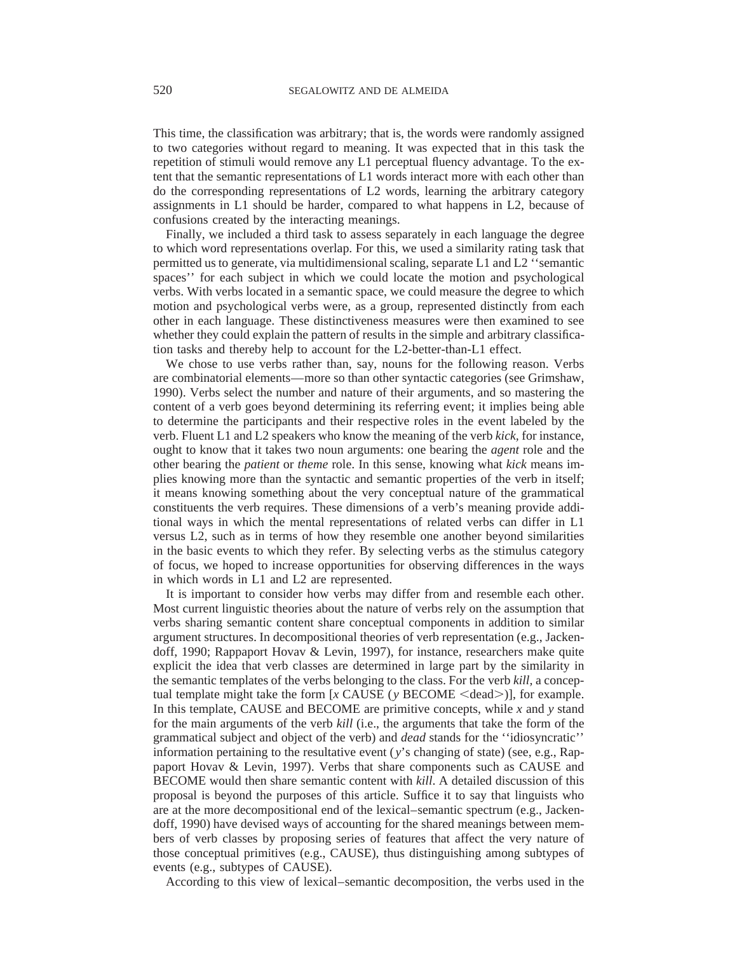This time, the classification was arbitrary; that is, the words were randomly assigned to two categories without regard to meaning. It was expected that in this task the repetition of stimuli would remove any L1 perceptual fluency advantage. To the extent that the semantic representations of L1 words interact more with each other than do the corresponding representations of L2 words, learning the arbitrary category assignments in L1 should be harder, compared to what happens in L2, because of confusions created by the interacting meanings.

Finally, we included a third task to assess separately in each language the degree to which word representations overlap. For this, we used a similarity rating task that permitted us to generate, via multidimensional scaling, separate L1 and L2 ''semantic spaces'' for each subject in which we could locate the motion and psychological verbs. With verbs located in a semantic space, we could measure the degree to which motion and psychological verbs were, as a group, represented distinctly from each other in each language. These distinctiveness measures were then examined to see whether they could explain the pattern of results in the simple and arbitrary classification tasks and thereby help to account for the L2-better-than-L1 effect.

We chose to use verbs rather than, say, nouns for the following reason. Verbs are combinatorial elements—more so than other syntactic categories (see Grimshaw, 1990). Verbs select the number and nature of their arguments, and so mastering the content of a verb goes beyond determining its referring event; it implies being able to determine the participants and their respective roles in the event labeled by the verb. Fluent L1 and L2 speakers who know the meaning of the verb *kick,* for instance, ought to know that it takes two noun arguments: one bearing the *agent* role and the other bearing the *patient* or *theme* role. In this sense, knowing what *kick* means implies knowing more than the syntactic and semantic properties of the verb in itself; it means knowing something about the very conceptual nature of the grammatical constituents the verb requires. These dimensions of a verb's meaning provide additional ways in which the mental representations of related verbs can differ in L1 versus L2, such as in terms of how they resemble one another beyond similarities in the basic events to which they refer. By selecting verbs as the stimulus category of focus, we hoped to increase opportunities for observing differences in the ways in which words in L1 and L2 are represented.

It is important to consider how verbs may differ from and resemble each other. Most current linguistic theories about the nature of verbs rely on the assumption that verbs sharing semantic content share conceptual components in addition to similar argument structures. In decompositional theories of verb representation (e.g., Jackendoff, 1990; Rappaport Hovav & Levin, 1997), for instance, researchers make quite explicit the idea that verb classes are determined in large part by the similarity in the semantic templates of the verbs belonging to the class. For the verb *kill,* a conceptual template might take the form  $[x \text{ CAUSE}(y \text{ BECOME} \leq \text{dead})]$ , for example. In this template, CAUSE and BECOME are primitive concepts, while *x* and *y* stand for the main arguments of the verb *kill* (i.e., the arguments that take the form of the grammatical subject and object of the verb) and *dead* stands for the ''idiosyncratic'' information pertaining to the resultative event (*y*'s changing of state) (see, e.g., Rappaport Hovav & Levin, 1997). Verbs that share components such as CAUSE and BECOME would then share semantic content with *kill*. A detailed discussion of this proposal is beyond the purposes of this article. Suffice it to say that linguists who are at the more decompositional end of the lexical–semantic spectrum (e.g., Jackendoff, 1990) have devised ways of accounting for the shared meanings between members of verb classes by proposing series of features that affect the very nature of those conceptual primitives (e.g., CAUSE), thus distinguishing among subtypes of events (e.g., subtypes of CAUSE).

According to this view of lexical–semantic decomposition, the verbs used in the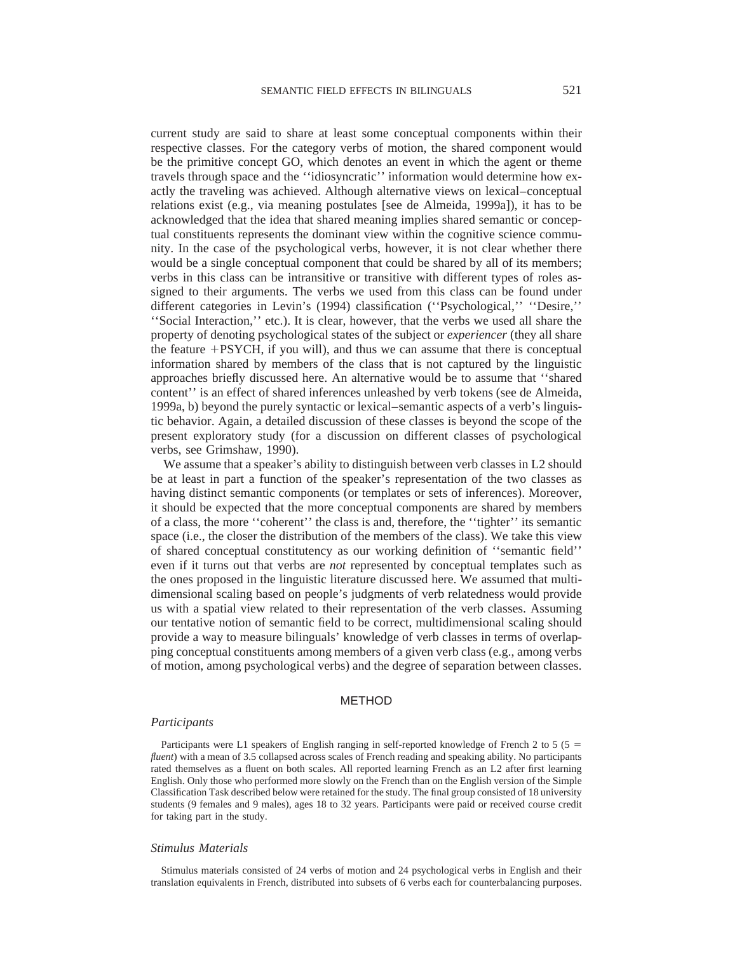current study are said to share at least some conceptual components within their respective classes. For the category verbs of motion, the shared component would be the primitive concept GO, which denotes an event in which the agent or theme travels through space and the ''idiosyncratic'' information would determine how exactly the traveling was achieved. Although alternative views on lexical–conceptual relations exist (e.g., via meaning postulates [see de Almeida, 1999a]), it has to be acknowledged that the idea that shared meaning implies shared semantic or conceptual constituents represents the dominant view within the cognitive science community. In the case of the psychological verbs, however, it is not clear whether there would be a single conceptual component that could be shared by all of its members; verbs in this class can be intransitive or transitive with different types of roles assigned to their arguments. The verbs we used from this class can be found under different categories in Levin's (1994) classification (''Psychological,'' ''Desire,'' ''Social Interaction,'' etc.). It is clear, however, that the verbs we used all share the property of denoting psychological states of the subject or *experiencer* (they all share the feature  $+$ PSYCH, if you will), and thus we can assume that there is conceptual information shared by members of the class that is not captured by the linguistic approaches briefly discussed here. An alternative would be to assume that ''shared content'' is an effect of shared inferences unleashed by verb tokens (see de Almeida, 1999a, b) beyond the purely syntactic or lexical–semantic aspects of a verb's linguistic behavior. Again, a detailed discussion of these classes is beyond the scope of the present exploratory study (for a discussion on different classes of psychological verbs, see Grimshaw, 1990).

We assume that a speaker's ability to distinguish between verb classes in L2 should be at least in part a function of the speaker's representation of the two classes as having distinct semantic components (or templates or sets of inferences). Moreover, it should be expected that the more conceptual components are shared by members of a class, the more ''coherent'' the class is and, therefore, the ''tighter'' its semantic space (i.e., the closer the distribution of the members of the class). We take this view of shared conceptual constitutency as our working definition of ''semantic field'' even if it turns out that verbs are *not* represented by conceptual templates such as the ones proposed in the linguistic literature discussed here. We assumed that multidimensional scaling based on people's judgments of verb relatedness would provide us with a spatial view related to their representation of the verb classes. Assuming our tentative notion of semantic field to be correct, multidimensional scaling should provide a way to measure bilinguals' knowledge of verb classes in terms of overlapping conceptual constituents among members of a given verb class (e.g., among verbs of motion, among psychological verbs) and the degree of separation between classes.

# METHOD

#### *Participants*

Participants were L1 speakers of English ranging in self-reported knowledge of French 2 to 5 ( $5 =$ *fluent*) with a mean of 3.5 collapsed across scales of French reading and speaking ability. No participants rated themselves as a fluent on both scales. All reported learning French as an L2 after first learning English. Only those who performed more slowly on the French than on the English version of the Simple Classification Task described below were retained for the study. The final group consisted of 18 university students (9 females and 9 males), ages 18 to 32 years. Participants were paid or received course credit for taking part in the study.

#### *Stimulus Materials*

Stimulus materials consisted of 24 verbs of motion and 24 psychological verbs in English and their translation equivalents in French, distributed into subsets of 6 verbs each for counterbalancing purposes.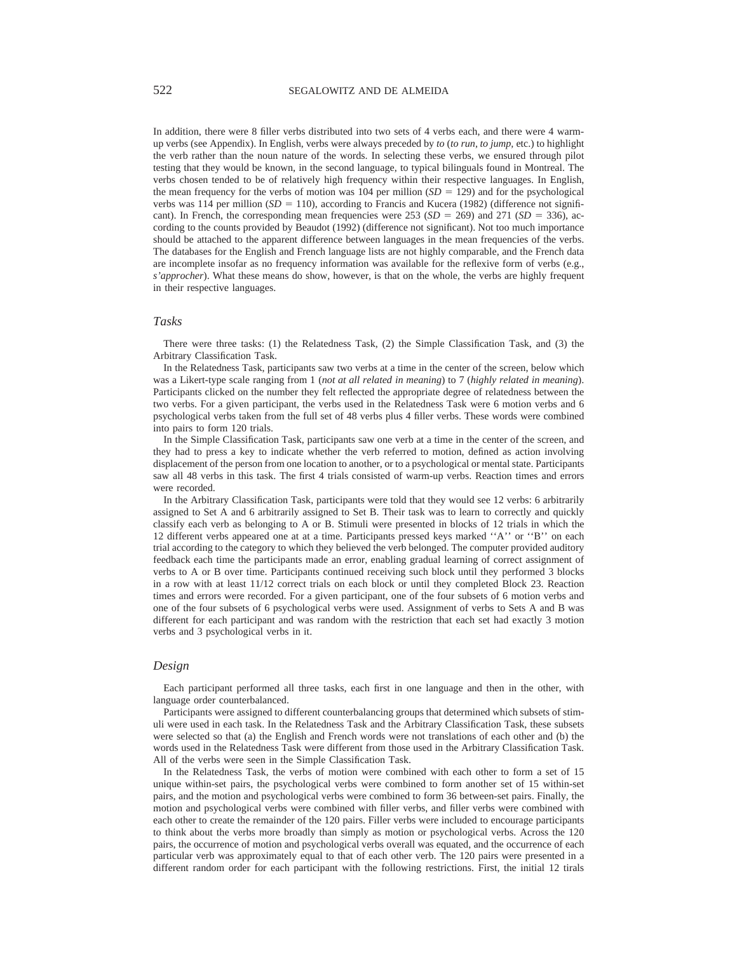In addition, there were 8 filler verbs distributed into two sets of 4 verbs each, and there were 4 warmup verbs (see Appendix). In English, verbs were always preceded by *to* (*to run, to jump,* etc.) to highlight the verb rather than the noun nature of the words. In selecting these verbs, we ensured through pilot testing that they would be known, in the second language, to typical bilinguals found in Montreal. The verbs chosen tended to be of relatively high frequency within their respective languages. In English, the mean frequency for the verbs of motion was 104 per million  $(SD = 129)$  and for the psychological verbs was 114 per million (*SD* = 110), according to Francis and Kucera (1982) (difference not significant). In French, the corresponding mean frequencies were 253 ( $SD = 269$ ) and 271 ( $SD = 336$ ), according to the counts provided by Beaudot (1992) (difference not significant). Not too much importance should be attached to the apparent difference between languages in the mean frequencies of the verbs. The databases for the English and French language lists are not highly comparable, and the French data are incomplete insofar as no frequency information was available for the reflexive form of verbs (e.g., *s'approcher*). What these means do show, however, is that on the whole, the verbs are highly frequent in their respective languages.

#### *Tasks*

There were three tasks: (1) the Relatedness Task, (2) the Simple Classification Task, and (3) the Arbitrary Classification Task.

In the Relatedness Task, participants saw two verbs at a time in the center of the screen, below which was a Likert-type scale ranging from 1 (*not at all related in meaning*) to 7 (*highly related in meaning*). Participants clicked on the number they felt reflected the appropriate degree of relatedness between the two verbs. For a given participant, the verbs used in the Relatedness Task were 6 motion verbs and 6 psychological verbs taken from the full set of 48 verbs plus 4 filler verbs. These words were combined into pairs to form 120 trials.

In the Simple Classification Task, participants saw one verb at a time in the center of the screen, and they had to press a key to indicate whether the verb referred to motion, defined as action involving displacement of the person from one location to another, or to a psychological or mental state. Participants saw all 48 verbs in this task. The first 4 trials consisted of warm-up verbs. Reaction times and errors were recorded.

In the Arbitrary Classification Task, participants were told that they would see 12 verbs: 6 arbitrarily assigned to Set A and 6 arbitrarily assigned to Set B. Their task was to learn to correctly and quickly classify each verb as belonging to A or B. Stimuli were presented in blocks of 12 trials in which the 12 different verbs appeared one at at a time. Participants pressed keys marked ''A'' or ''B'' on each trial according to the category to which they believed the verb belonged. The computer provided auditory feedback each time the participants made an error, enabling gradual learning of correct assignment of verbs to A or B over time. Participants continued receiving such block until they performed 3 blocks in a row with at least 11/12 correct trials on each block or until they completed Block 23. Reaction times and errors were recorded. For a given participant, one of the four subsets of 6 motion verbs and one of the four subsets of 6 psychological verbs were used. Assignment of verbs to Sets A and B was different for each participant and was random with the restriction that each set had exactly 3 motion verbs and 3 psychological verbs in it.

## *Design*

Each participant performed all three tasks, each first in one language and then in the other, with language order counterbalanced.

Participants were assigned to different counterbalancing groups that determined which subsets of stimuli were used in each task. In the Relatedness Task and the Arbitrary Classification Task, these subsets were selected so that (a) the English and French words were not translations of each other and (b) the words used in the Relatedness Task were different from those used in the Arbitrary Classification Task. All of the verbs were seen in the Simple Classification Task.

In the Relatedness Task, the verbs of motion were combined with each other to form a set of 15 unique within-set pairs, the psychological verbs were combined to form another set of 15 within-set pairs, and the motion and psychological verbs were combined to form 36 between-set pairs. Finally, the motion and psychological verbs were combined with filler verbs, and filler verbs were combined with each other to create the remainder of the 120 pairs. Filler verbs were included to encourage participants to think about the verbs more broadly than simply as motion or psychological verbs. Across the 120 pairs, the occurrence of motion and psychological verbs overall was equated, and the occurrence of each particular verb was approximately equal to that of each other verb. The 120 pairs were presented in a different random order for each participant with the following restrictions. First, the initial 12 tirals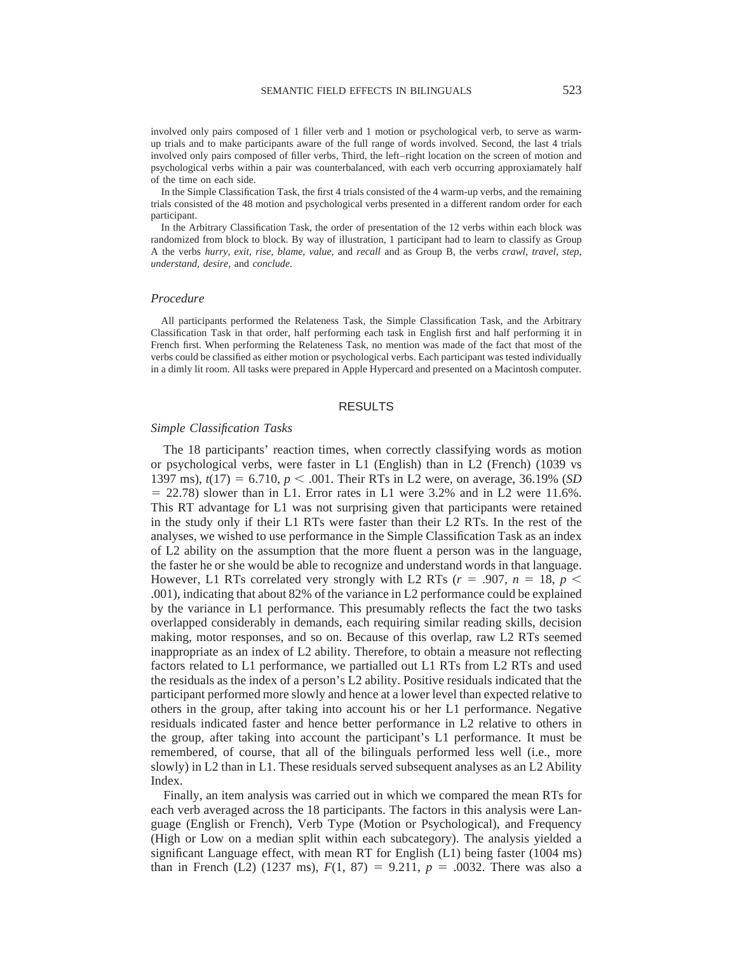involved only pairs composed of 1 filler verb and 1 motion or psychological verb, to serve as warmup trials and to make participants aware of the full range of words involved. Second, the last 4 trials involved only pairs composed of filler verbs, Third, the left–right location on the screen of motion and psychological verbs within a pair was counterbalanced, with each verb occurring approxiamately half of the time on each side.

In the Simple Classification Task, the first 4 trials consisted of the 4 warm-up verbs, and the remaining trials consisted of the 48 motion and psychological verbs presented in a different random order for each participant.

In the Arbitrary Classification Task, the order of presentation of the 12 verbs within each block was randomized from block to block. By way of illustration, 1 participant had to learn to classify as Group A the verbs *hurry, exit, rise, blame, value,* and *recall* and as Group B, the verbs *crawl, travel, step, understand, desire,* and *conclude.*

#### *Procedure*

All participants performed the Relateness Task, the Simple Classification Task, and the Arbitrary Classification Task in that order, half performing each task in English first and half performing it in French first. When performing the Relateness Task, no mention was made of the fact that most of the verbs could be classified as either motion or psychological verbs. Each participant was tested individually in a dimly lit room. All tasks were prepared in Apple Hypercard and presented on a Macintosh computer.

#### RESULTS

### *Simple Classification Tasks*

The 18 participants' reaction times, when correctly classifying words as motion or psychological verbs, were faster in L1 (English) than in L2 (French) (1039 vs 1397 ms),  $t(17) = 6.710$ ,  $p < .001$ . Their RTs in L2 were, on average, 36.19% (*SD*)  $= 22.78$ ) slower than in L1. Error rates in L1 were 3.2% and in L2 were 11.6%. This RT advantage for L1 was not surprising given that participants were retained in the study only if their L1 RTs were faster than their L2 RTs. In the rest of the analyses, we wished to use performance in the Simple Classification Task as an index of L2 ability on the assumption that the more fluent a person was in the language, the faster he or she would be able to recognize and understand words in that language. However, L1 RTs correlated very strongly with L2 RTs ( $r = .907$ ,  $n = 18$ ,  $p <$ .001), indicating that about 82% of the variance in L2 performance could be explained by the variance in L1 performance. This presumably reflects the fact the two tasks overlapped considerably in demands, each requiring similar reading skills, decision making, motor responses, and so on. Because of this overlap, raw L2 RTs seemed inappropriate as an index of L2 ability. Therefore, to obtain a measure not reflecting factors related to L1 performance, we partialled out L1 RTs from L2 RTs and used the residuals as the index of a person's L2 ability. Positive residuals indicated that the participant performed more slowly and hence at a lower level than expected relative to others in the group, after taking into account his or her L1 performance. Negative residuals indicated faster and hence better performance in L2 relative to others in the group, after taking into account the participant's L1 performance. It must be remembered, of course, that all of the bilinguals performed less well (i.e., more slowly) in L2 than in L1. These residuals served subsequent analyses as an L2 Ability Index.

Finally, an item analysis was carried out in which we compared the mean RTs for each verb averaged across the 18 participants. The factors in this analysis were Language (English or French), Verb Type (Motion or Psychological), and Frequency (High or Low on a median split within each subcategory). The analysis yielded a significant Language effect, with mean RT for English (L1) being faster (1004 ms) than in French (L2) (1237 ms),  $F(1, 87) = 9.211$ ,  $p = .0032$ . There was also a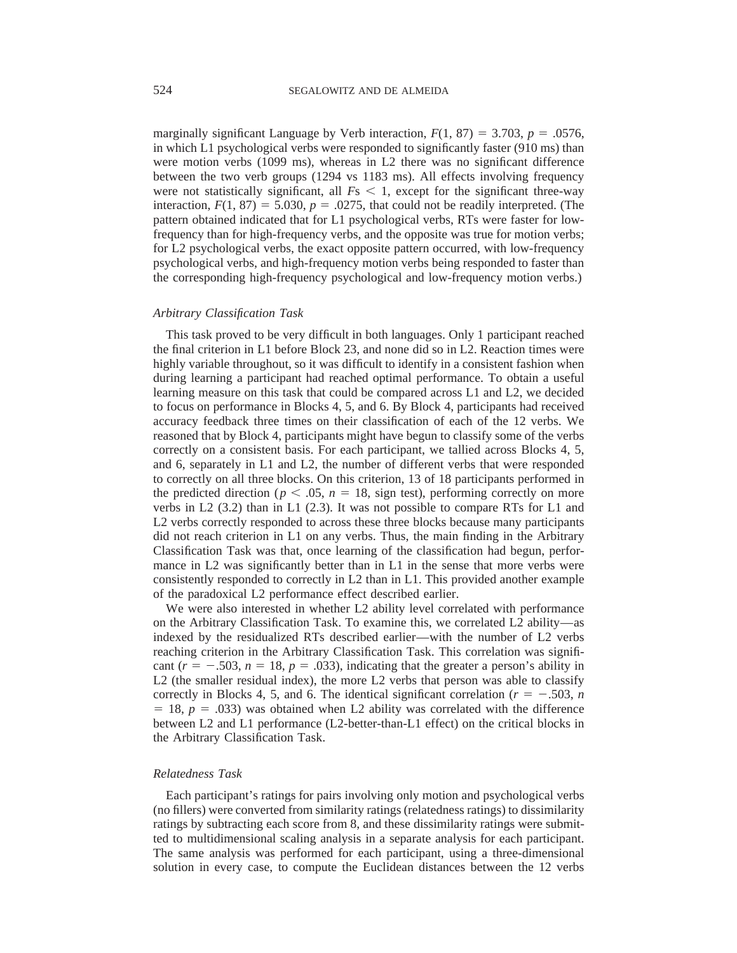marginally significant Language by Verb interaction,  $F(1, 87) = 3.703$ ,  $p = .0576$ , in which L1 psychological verbs were responded to significantly faster (910 ms) than were motion verbs (1099 ms), whereas in L2 there was no significant difference between the two verb groups (1294 vs 1183 ms). All effects involving frequency were not statistically significant, all  $Fs < 1$ , except for the significant three-way interaction,  $F(1, 87) = 5.030$ ,  $p = .0275$ , that could not be readily interpreted. (The pattern obtained indicated that for L1 psychological verbs, RTs were faster for lowfrequency than for high-frequency verbs, and the opposite was true for motion verbs; for L2 psychological verbs, the exact opposite pattern occurred, with low-frequency psychological verbs, and high-frequency motion verbs being responded to faster than the corresponding high-frequency psychological and low-frequency motion verbs.)

#### *Arbitrary Classification Task*

This task proved to be very difficult in both languages. Only 1 participant reached the final criterion in L1 before Block 23, and none did so in L2. Reaction times were highly variable throughout, so it was difficult to identify in a consistent fashion when during learning a participant had reached optimal performance. To obtain a useful learning measure on this task that could be compared across L1 and L2, we decided to focus on performance in Blocks 4, 5, and 6. By Block 4, participants had received accuracy feedback three times on their classification of each of the 12 verbs. We reasoned that by Block 4, participants might have begun to classify some of the verbs correctly on a consistent basis. For each participant, we tallied across Blocks 4, 5, and 6, separately in L1 and L2, the number of different verbs that were responded to correctly on all three blocks. On this criterion, 13 of 18 participants performed in the predicted direction ( $p < .05$ ,  $n = 18$ , sign test), performing correctly on more verbs in L2 (3.2) than in L1 (2.3). It was not possible to compare RTs for L1 and L2 verbs correctly responded to across these three blocks because many participants did not reach criterion in L1 on any verbs. Thus, the main finding in the Arbitrary Classification Task was that, once learning of the classification had begun, performance in L2 was significantly better than in L1 in the sense that more verbs were consistently responded to correctly in L2 than in L1. This provided another example of the paradoxical L2 performance effect described earlier.

We were also interested in whether L2 ability level correlated with performance on the Arbitrary Classification Task. To examine this, we correlated L2 ability—as indexed by the residualized RTs described earlier—with the number of L2 verbs reaching criterion in the Arbitrary Classification Task. This correlation was significant  $(r = -.503, n = 18, p = .033)$ , indicating that the greater a person's ability in L2 (the smaller residual index), the more L2 verbs that person was able to classify correctly in Blocks 4, 5, and 6. The identical significant correlation ( $r = -.503$ , *n*  $= 18$ ,  $p = .033$ ) was obtained when L2 ability was correlated with the difference between L2 and L1 performance (L2-better-than-L1 effect) on the critical blocks in the Arbitrary Classification Task.

## *Relatedness Task*

Each participant's ratings for pairs involving only motion and psychological verbs (no fillers) were converted from similarity ratings (relatedness ratings) to dissimilarity ratings by subtracting each score from 8, and these dissimilarity ratings were submitted to multidimensional scaling analysis in a separate analysis for each participant. The same analysis was performed for each participant, using a three-dimensional solution in every case, to compute the Euclidean distances between the 12 verbs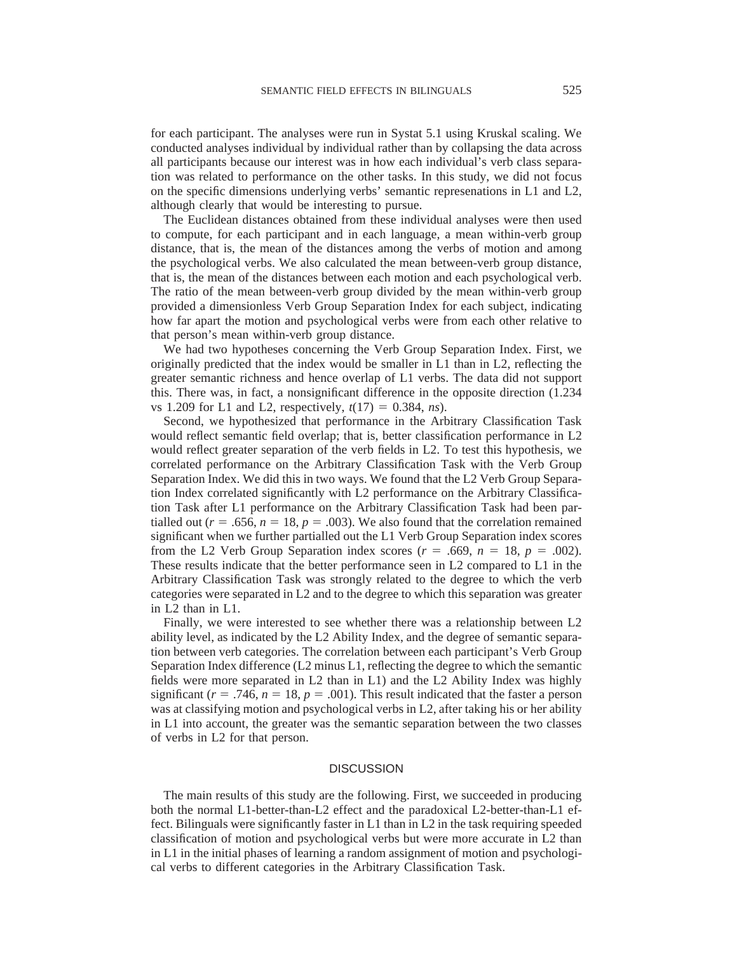for each participant. The analyses were run in Systat 5.1 using Kruskal scaling. We conducted analyses individual by individual rather than by collapsing the data across all participants because our interest was in how each individual's verb class separation was related to performance on the other tasks. In this study, we did not focus on the specific dimensions underlying verbs' semantic represenations in L1 and L2, although clearly that would be interesting to pursue.

The Euclidean distances obtained from these individual analyses were then used to compute, for each participant and in each language, a mean within-verb group distance, that is, the mean of the distances among the verbs of motion and among the psychological verbs. We also calculated the mean between-verb group distance, that is, the mean of the distances between each motion and each psychological verb. The ratio of the mean between-verb group divided by the mean within-verb group provided a dimensionless Verb Group Separation Index for each subject, indicating how far apart the motion and psychological verbs were from each other relative to that person's mean within-verb group distance.

We had two hypotheses concerning the Verb Group Separation Index. First, we originally predicted that the index would be smaller in L1 than in L2, reflecting the greater semantic richness and hence overlap of L1 verbs. The data did not support this. There was, in fact, a nonsignificant difference in the opposite direction (1.234 vs 1.209 for L1 and L2, respectively,  $t(17) = 0.384$ , *ns*).

Second, we hypothesized that performance in the Arbitrary Classification Task would reflect semantic field overlap; that is, better classification performance in L2 would reflect greater separation of the verb fields in L2. To test this hypothesis, we correlated performance on the Arbitrary Classification Task with the Verb Group Separation Index. We did this in two ways. We found that the L2 Verb Group Separation Index correlated significantly with L2 performance on the Arbitrary Classification Task after L1 performance on the Arbitrary Classification Task had been partialled out ( $r = .656$ ,  $n = 18$ ,  $p = .003$ ). We also found that the correlation remained significant when we further partialled out the L1 Verb Group Separation index scores from the L2 Verb Group Separation index scores  $(r = .669, n = 18, p = .002)$ . These results indicate that the better performance seen in L2 compared to L1 in the Arbitrary Classification Task was strongly related to the degree to which the verb categories were separated in L2 and to the degree to which this separation was greater in L2 than in L1.

Finally, we were interested to see whether there was a relationship between L2 ability level, as indicated by the L2 Ability Index, and the degree of semantic separation between verb categories. The correlation between each participant's Verb Group Separation Index difference (L2 minus L1, reflecting the degree to which the semantic fields were more separated in L2 than in L1) and the L2 Ability Index was highly significant ( $r = .746$ ,  $n = 18$ ,  $p = .001$ ). This result indicated that the faster a person was at classifying motion and psychological verbs in L2, after taking his or her ability in L1 into account, the greater was the semantic separation between the two classes of verbs in L2 for that person.

## **DISCUSSION**

The main results of this study are the following. First, we succeeded in producing both the normal L1-better-than-L2 effect and the paradoxical L2-better-than-L1 effect. Bilinguals were significantly faster in L1 than in L2 in the task requiring speeded classification of motion and psychological verbs but were more accurate in L2 than in L1 in the initial phases of learning a random assignment of motion and psychological verbs to different categories in the Arbitrary Classification Task.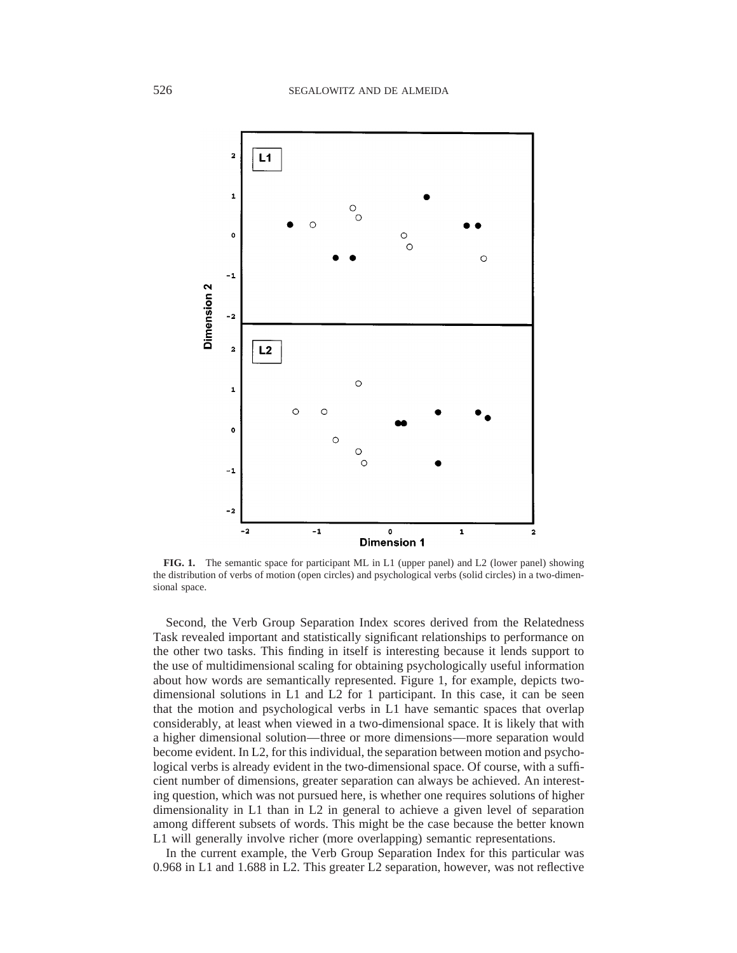

**FIG. 1.** The semantic space for participant ML in L1 (upper panel) and L2 (lower panel) showing the distribution of verbs of motion (open circles) and psychological verbs (solid circles) in a two-dimensional space.

Second, the Verb Group Separation Index scores derived from the Relatedness Task revealed important and statistically significant relationships to performance on the other two tasks. This finding in itself is interesting because it lends support to the use of multidimensional scaling for obtaining psychologically useful information about how words are semantically represented. Figure 1, for example, depicts twodimensional solutions in L1 and L2 for 1 participant. In this case, it can be seen that the motion and psychological verbs in L1 have semantic spaces that overlap considerably, at least when viewed in a two-dimensional space. It is likely that with a higher dimensional solution—three or more dimensions—more separation would become evident. In L2, for this individual, the separation between motion and psychological verbs is already evident in the two-dimensional space. Of course, with a sufficient number of dimensions, greater separation can always be achieved. An interesting question, which was not pursued here, is whether one requires solutions of higher dimensionality in L1 than in L2 in general to achieve a given level of separation among different subsets of words. This might be the case because the better known L1 will generally involve richer (more overlapping) semantic representations.

In the current example, the Verb Group Separation Index for this particular was 0.968 in L1 and 1.688 in L2. This greater L2 separation, however, was not reflective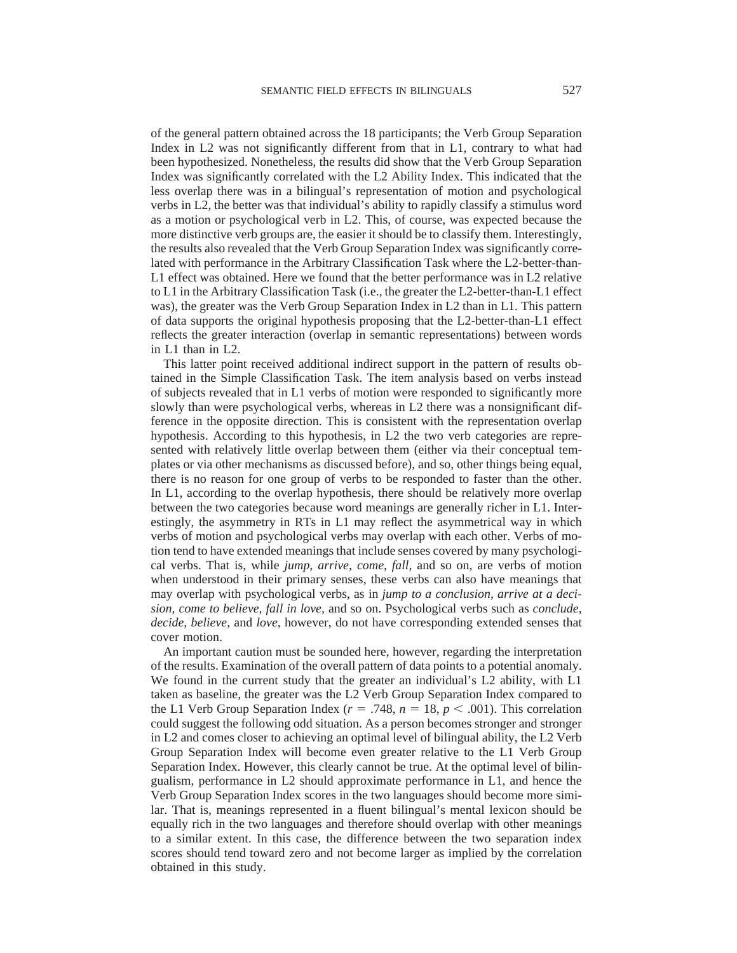of the general pattern obtained across the 18 participants; the Verb Group Separation Index in L2 was not significantly different from that in L1, contrary to what had been hypothesized. Nonetheless, the results did show that the Verb Group Separation Index was significantly correlated with the L2 Ability Index. This indicated that the less overlap there was in a bilingual's representation of motion and psychological verbs in L2, the better was that individual's ability to rapidly classify a stimulus word as a motion or psychological verb in L2. This, of course, was expected because the more distinctive verb groups are, the easier it should be to classify them. Interestingly, the results also revealed that the Verb Group Separation Index was significantly correlated with performance in the Arbitrary Classification Task where the L2-better-than-L1 effect was obtained. Here we found that the better performance was in L2 relative to L1 in the Arbitrary Classification Task (i.e., the greater the L2-better-than-L1 effect was), the greater was the Verb Group Separation Index in L2 than in L1. This pattern of data supports the original hypothesis proposing that the L2-better-than-L1 effect reflects the greater interaction (overlap in semantic representations) between words in L1 than in L2.

This latter point received additional indirect support in the pattern of results obtained in the Simple Classification Task. The item analysis based on verbs instead of subjects revealed that in L1 verbs of motion were responded to significantly more slowly than were psychological verbs, whereas in L2 there was a nonsignificant difference in the opposite direction. This is consistent with the representation overlap hypothesis. According to this hypothesis, in L2 the two verb categories are represented with relatively little overlap between them (either via their conceptual templates or via other mechanisms as discussed before), and so, other things being equal, there is no reason for one group of verbs to be responded to faster than the other. In L1, according to the overlap hypothesis, there should be relatively more overlap between the two categories because word meanings are generally richer in L1. Interestingly, the asymmetry in RTs in L1 may reflect the asymmetrical way in which verbs of motion and psychological verbs may overlap with each other. Verbs of motion tend to have extended meanings that include senses covered by many psychological verbs. That is, while *jump, arrive, come, fall,* and so on, are verbs of motion when understood in their primary senses, these verbs can also have meanings that may overlap with psychological verbs, as in *jump to a conclusion, arrive at a decision, come to believe, fall in love,* and so on. Psychological verbs such as *conclude, decide, believe,* and *love,* however, do not have corresponding extended senses that cover motion.

An important caution must be sounded here, however, regarding the interpretation of the results. Examination of the overall pattern of data points to a potential anomaly. We found in the current study that the greater an individual's L2 ability, with L1 taken as baseline, the greater was the L2 Verb Group Separation Index compared to the L1 Verb Group Separation Index ( $r = .748$ ,  $n = 18$ ,  $p < .001$ ). This correlation could suggest the following odd situation. As a person becomes stronger and stronger in L2 and comes closer to achieving an optimal level of bilingual ability, the L2 Verb Group Separation Index will become even greater relative to the L1 Verb Group Separation Index. However, this clearly cannot be true. At the optimal level of bilingualism, performance in L2 should approximate performance in L1, and hence the Verb Group Separation Index scores in the two languages should become more similar. That is, meanings represented in a fluent bilingual's mental lexicon should be equally rich in the two languages and therefore should overlap with other meanings to a similar extent. In this case, the difference between the two separation index scores should tend toward zero and not become larger as implied by the correlation obtained in this study.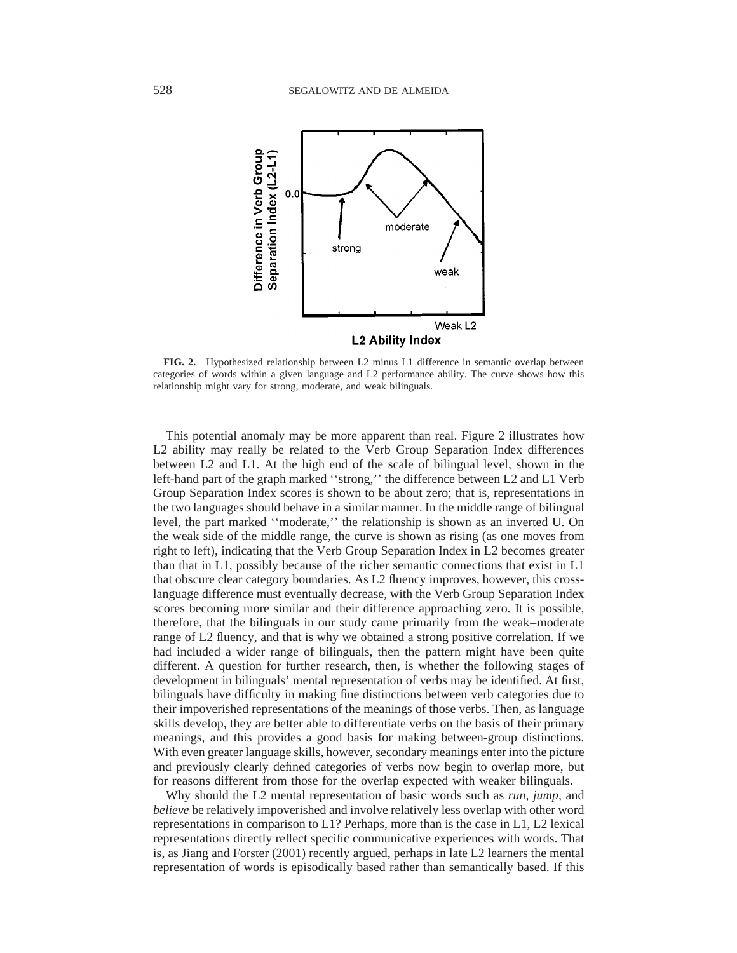

**FIG. 2.** Hypothesized relationship between L2 minus L1 difference in semantic overlap between categories of words within a given language and L2 performance ability. The curve shows how this relationship might vary for strong, moderate, and weak bilinguals.

This potential anomaly may be more apparent than real. Figure 2 illustrates how L2 ability may really be related to the Verb Group Separation Index differences between L2 and L1. At the high end of the scale of bilingual level, shown in the left-hand part of the graph marked ''strong,'' the difference between L2 and L1 Verb Group Separation Index scores is shown to be about zero; that is, representations in the two languages should behave in a similar manner. In the middle range of bilingual level, the part marked ''moderate,'' the relationship is shown as an inverted U. On the weak side of the middle range, the curve is shown as rising (as one moves from right to left), indicating that the Verb Group Separation Index in L2 becomes greater than that in L1, possibly because of the richer semantic connections that exist in L1 that obscure clear category boundaries. As L2 fluency improves, however, this crosslanguage difference must eventually decrease, with the Verb Group Separation Index scores becoming more similar and their difference approaching zero. It is possible, therefore, that the bilinguals in our study came primarily from the weak–moderate range of L2 fluency, and that is why we obtained a strong positive correlation. If we had included a wider range of bilinguals, then the pattern might have been quite different. A question for further research, then, is whether the following stages of development in bilinguals' mental representation of verbs may be identified. At first, bilinguals have difficulty in making fine distinctions between verb categories due to their impoverished representations of the meanings of those verbs. Then, as language skills develop, they are better able to differentiate verbs on the basis of their primary meanings, and this provides a good basis for making between-group distinctions. With even greater language skills, however, secondary meanings enter into the picture and previously clearly defined categories of verbs now begin to overlap more, but for reasons different from those for the overlap expected with weaker bilinguals.

Why should the L2 mental representation of basic words such as *run, jump,* and *believe* be relatively impoverished and involve relatively less overlap with other word representations in comparison to L1? Perhaps, more than is the case in L1, L2 lexical representations directly reflect specific communicative experiences with words. That is, as Jiang and Forster (2001) recently argued, perhaps in late L2 learners the mental representation of words is episodically based rather than semantically based. If this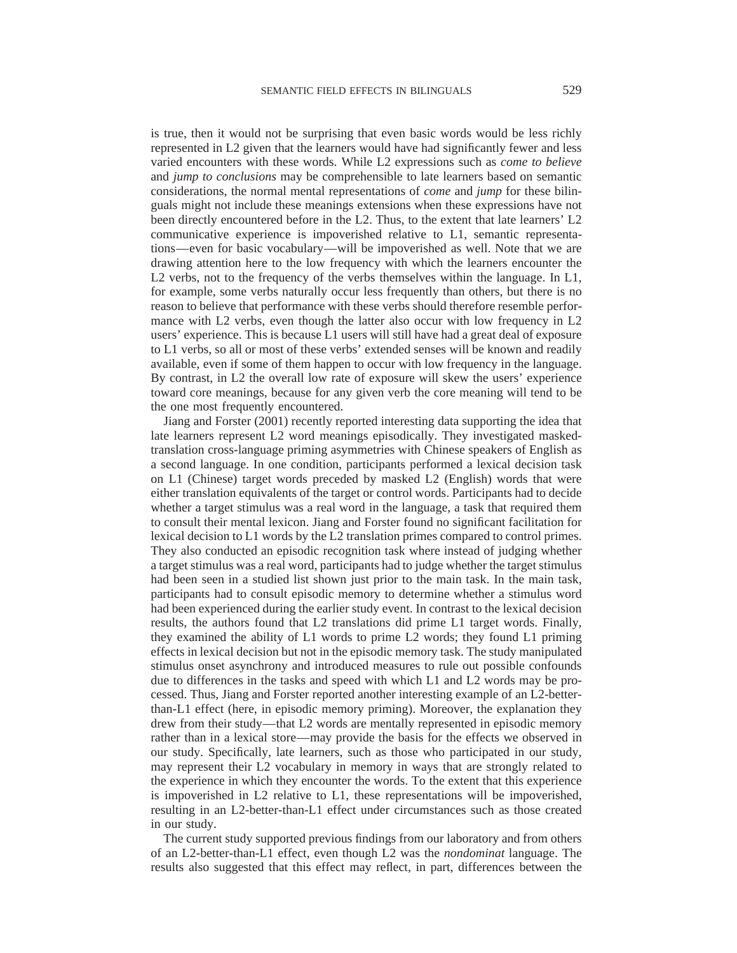is true, then it would not be surprising that even basic words would be less richly represented in L2 given that the learners would have had significantly fewer and less varied encounters with these words. While L2 expressions such as *come to believe* and *jump to conclusions* may be comprehensible to late learners based on semantic considerations, the normal mental representations of *come* and *jump* for these bilinguals might not include these meanings extensions when these expressions have not been directly encountered before in the L2. Thus, to the extent that late learners' L2 communicative experience is impoverished relative to L1, semantic representations—even for basic vocabulary—will be impoverished as well. Note that we are drawing attention here to the low frequency with which the learners encounter the L2 verbs, not to the frequency of the verbs themselves within the language. In L1, for example, some verbs naturally occur less frequently than others, but there is no reason to believe that performance with these verbs should therefore resemble performance with L2 verbs, even though the latter also occur with low frequency in L2 users' experience. This is because L1 users will still have had a great deal of exposure to L1 verbs, so all or most of these verbs' extended senses will be known and readily available, even if some of them happen to occur with low frequency in the language. By contrast, in L2 the overall low rate of exposure will skew the users' experience toward core meanings, because for any given verb the core meaning will tend to be the one most frequently encountered.

Jiang and Forster (2001) recently reported interesting data supporting the idea that late learners represent L2 word meanings episodically. They investigated maskedtranslation cross-language priming asymmetries with Chinese speakers of English as a second language. In one condition, participants performed a lexical decision task on L1 (Chinese) target words preceded by masked L2 (English) words that were either translation equivalents of the target or control words. Participants had to decide whether a target stimulus was a real word in the language, a task that required them to consult their mental lexicon. Jiang and Forster found no significant facilitation for lexical decision to L1 words by the L2 translation primes compared to control primes. They also conducted an episodic recognition task where instead of judging whether a target stimulus was a real word, participants had to judge whether the target stimulus had been seen in a studied list shown just prior to the main task. In the main task, participants had to consult episodic memory to determine whether a stimulus word had been experienced during the earlier study event. In contrast to the lexical decision results, the authors found that L2 translations did prime L1 target words. Finally, they examined the ability of L1 words to prime L2 words; they found L1 priming effects in lexical decision but not in the episodic memory task. The study manipulated stimulus onset asynchrony and introduced measures to rule out possible confounds due to differences in the tasks and speed with which L1 and L2 words may be processed. Thus, Jiang and Forster reported another interesting example of an L2-betterthan-L1 effect (here, in episodic memory priming). Moreover, the explanation they drew from their study—that L2 words are mentally represented in episodic memory rather than in a lexical store—may provide the basis for the effects we observed in our study. Specifically, late learners, such as those who participated in our study, may represent their L2 vocabulary in memory in ways that are strongly related to the experience in which they encounter the words. To the extent that this experience is impoverished in L2 relative to L1, these representations will be impoverished, resulting in an L2-better-than-L1 effect under circumstances such as those created in our study.

The current study supported previous findings from our laboratory and from others of an L2-better-than-L1 effect, even though L2 was the *nondominat* language. The results also suggested that this effect may reflect, in part, differences between the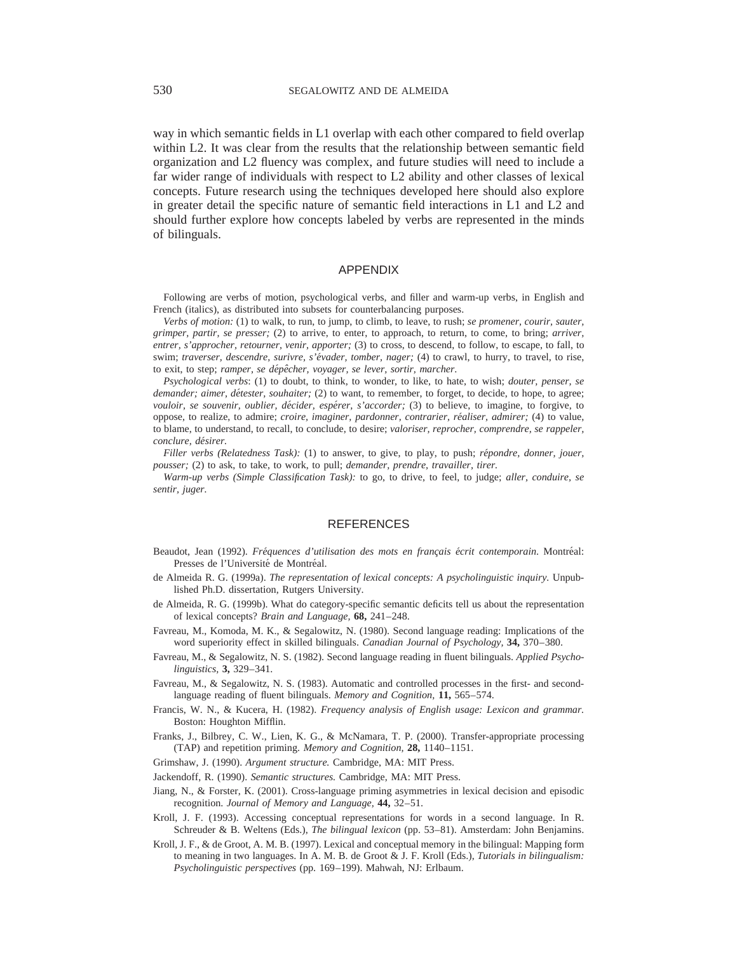way in which semantic fields in L1 overlap with each other compared to field overlap within L2. It was clear from the results that the relationship between semantic field organization and L2 fluency was complex, and future studies will need to include a far wider range of individuals with respect to L2 ability and other classes of lexical concepts. Future research using the techniques developed here should also explore in greater detail the specific nature of semantic field interactions in L1 and L2 and should further explore how concepts labeled by verbs are represented in the minds of bilinguals.

## APPENDIX

Following are verbs of motion, psychological verbs, and filler and warm-up verbs, in English and French (italics), as distributed into subsets for counterbalancing purposes.

*Verbs of motion:* (1) to walk, to run, to jump, to climb, to leave, to rush; *se promener, courir, sauter, grimper, partir, se presser;* (2) to arrive, to enter, to approach, to return, to come, to bring; *arriver, entrer, s'approcher, retourner, venir, apporter;* (3) to cross, to descend, to follow, to escape, to fall, to swim; *traverser, descendre, surivre, s'évader, tomber, nager;* (4) to crawl, to hurry, to travel, to rise, to exit, to step; *ramper, se dépêcher, voyager, se lever, sortir, marcher.* 

*Psychological verbs*: (1) to doubt, to think, to wonder, to like, to hate, to wish; *douter, penser, se demander; aimer, détester, souhaiter;* (2) to want, to remember, to forget, to decide, to hope, to agree; *vouloir, se souvenir, oublier, décider, espérer, s'accorder;* (3) to believe, to imagine, to forgive, to oppose, to realize, to admire; *croire, imaginer, pardonner, contrarier, réaliser, admirer;* (4) to value, to blame, to understand, to recall, to conclude, to desire; *valoriser, reprocher, comprendre, se rappeler, conclure, de´sirer.*

*Filler verbs (Relatedness Task):* (1) to answer, to give, to play, to push; *répondre, donner, jouer, pousser;* (2) to ask, to take, to work, to pull; *demander, prendre, travailler, tirer.*

*Warm-up verbs (Simple Classification Task):* to go, to drive, to feel, to judge; *aller, conduire, se sentir, juger.*

#### REFERENCES

- Beaudot, Jean (1992). *Fréquences d'utilisation des mots en français écrit contemporain*. Montréal: Presses de l'Université de Montréal.
- de Almeida R. G. (1999a). *The representation of lexical concepts: A psycholinguistic inquiry.* Unpublished Ph.D. dissertation, Rutgers University.
- de Almeida, R. G. (1999b). What do category-specific semantic deficits tell us about the representation of lexical concepts? *Brain and Language,* **68,** 241–248.
- Favreau, M., Komoda, M. K., & Segalowitz, N. (1980). Second language reading: Implications of the word superiority effect in skilled bilinguals. *Canadian Journal of Psychology,* **34,** 370–380.
- Favreau, M., & Segalowitz, N. S. (1982). Second language reading in fluent bilinguals. *Applied Psycholinguistics,* **3,** 329–341.
- Favreau, M., & Segalowitz, N. S. (1983). Automatic and controlled processes in the first- and secondlanguage reading of fluent bilinguals. *Memory and Cognition,* **11,** 565–574.
- Francis, W. N., & Kucera, H. (1982). *Frequency analysis of English usage: Lexicon and grammar.* Boston: Houghton Mifflin.
- Franks, J., Bilbrey, C. W., Lien, K. G., & McNamara, T. P. (2000). Transfer-appropriate processing (TAP) and repetition priming. *Memory and Cognition,* **28,** 1140–1151.
- Grimshaw, J. (1990). *Argument structure.* Cambridge, MA: MIT Press.
- Jackendoff, R. (1990). *Semantic structures.* Cambridge, MA: MIT Press.
- Jiang, N., & Forster, K. (2001). Cross-language priming asymmetries in lexical decision and episodic recognition. *Journal of Memory and Language,* **44,** 32–51.
- Kroll, J. F. (1993). Accessing conceptual representations for words in a second language. In R. Schreuder & B. Weltens (Eds.), *The bilingual lexicon* (pp. 53–81). Amsterdam: John Benjamins.
- Kroll, J. F., & de Groot, A. M. B. (1997). Lexical and conceptual memory in the bilingual: Mapping form to meaning in two languages. In A. M. B. de Groot & J. F. Kroll (Eds.), *Tutorials in bilingualism: Psycholinguistic perspectives* (pp. 169–199). Mahwah, NJ: Erlbaum.